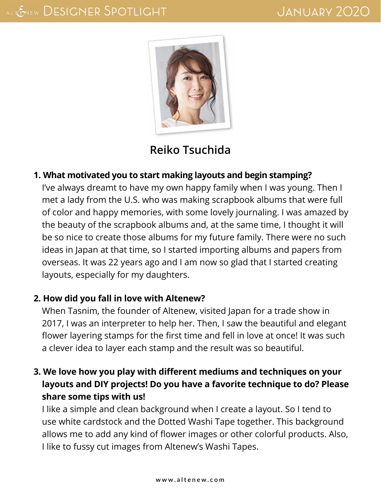

# **[Reiko Tsuchida](http://www.scrapbooking-101.com/category/12inch/)**

#### **1. What motivated you to start making layouts and begin stamping?**

I've always dreamt to have my own happy family when I was young. Then I met a lady from the U.S. who was making scrapbook albums that were full of color and happy memories, with some lovely journaling. I was amazed by the beauty of the scrapbook albums and, at the same time, I thought it will be so nice to create those albums for my future family. There were no such ideas in Japan at that time, so I started importing albums and papers from overseas. It was 22 years ago and I am now so glad that I started creating layouts, especially for my daughters.

#### **2. How did you fall in love with Altenew?**

When Tasnim, the founder of Altenew, visited Japan for a trade show in 2017, I was an interpreter to help her. Then, I saw the beautiful and elegant flower layering stamps for the first time and fell in love at once! It was such a clever idea to layer each stamp and the result was so beautiful.

### **3. We love how you play with different mediums and techniques on your layouts and DIY projects! Do you have a favorite technique to do? Please share some tips with us!**

I like a simple and clean background when I create a layout. So I tend to use white cardstock and the Dotted Washi Tape together. This background allows me to add any kind of flower images or other colorful products. Also, I like to fussy cut images from Altenew's Washi Tapes.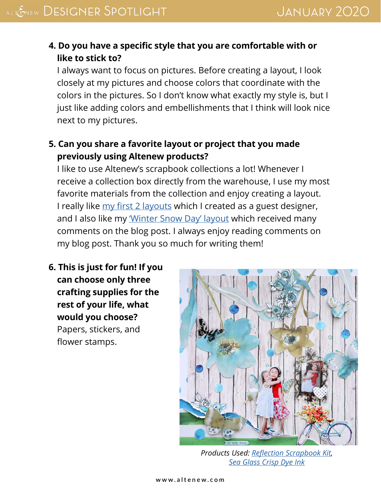### **4. Do you have a specific style that you are comfortable with or like to stick to?**

I always want to focus on pictures. Before creating a layout, I look closely at my pictures and choose colors that coordinate with the colors in the pictures. So I don't know what exactly my style is, but I just like adding colors and embellishments that I think will look nice next to my pictures.

### **5. Can you share a favorite layout or project that you made previously using Altenew products?**

I like to use Altenew's scrapbook collections a lot! Whenever I receive a collection box directly from the warehouse, I use my most favorite materials from the collection and enjoy creating a layout. I really like [my first 2 layouts](https://altenewscrapbook.com/2017/08/17/august-guest-designer-reiko-tsuchida/) which I created as a guest designer, and I also like my *'Winter Snow Day' layout* which received many comments on the blog post. I always enjoy reading comments on my blog post. Thank you so much for writing them!

**6. This is just for fun! If you can choose only three crafting supplies for the rest of your life, what would you choose?** Papers, stickers, and flower stamps.



*Products Used: [Reflection Scrapbook Kit](https://altenew.com/products/reflection-scrapbook-kit), [Sea Glass Crisp Dye Ink](https://altenew.com/products/sea-glass-crisp-dye-ink)*